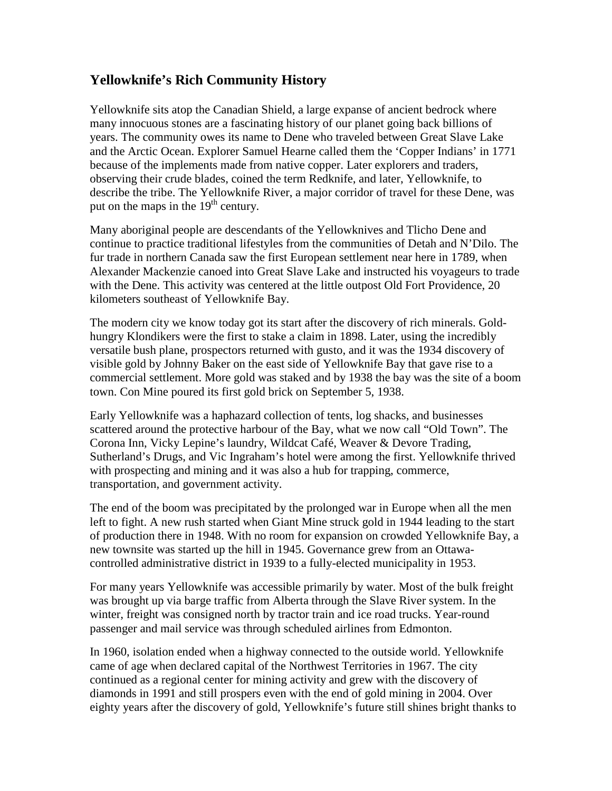## **Yellowknife's Rich Community History**

Yellowknife sits atop the Canadian Shield, a large expanse of ancient bedrock where many innocuous stones are a fascinating history of our planet going back billions of years. The community owes its name to Dene who traveled between Great Slave Lake and the Arctic Ocean. Explorer Samuel Hearne called them the 'Copper Indians' in 1771 because of the implements made from native copper. Later explorers and traders, observing their crude blades, coined the term Redknife, and later, Yellowknife, to describe the tribe. The Yellowknife River, a major corridor of travel for these Dene, was put on the maps in the  $19<sup>th</sup>$  century.

Many aboriginal people are descendants of the Yellowknives and Tlicho Dene and continue to practice traditional lifestyles from the communities of Detah and N'Dilo. The fur trade in northern Canada saw the first European settlement near here in 1789, when Alexander Mackenzie canoed into Great Slave Lake and instructed his voyageurs to trade with the Dene. This activity was centered at the little outpost Old Fort Providence, 20 kilometers southeast of Yellowknife Bay.

The modern city we know today got its start after the discovery of rich minerals. Goldhungry Klondikers were the first to stake a claim in 1898. Later, using the incredibly versatile bush plane, prospectors returned with gusto, and it was the 1934 discovery of visible gold by Johnny Baker on the east side of Yellowknife Bay that gave rise to a commercial settlement. More gold was staked and by 1938 the bay was the site of a boom town. Con Mine poured its first gold brick on September 5, 1938.

Early Yellowknife was a haphazard collection of tents, log shacks, and businesses scattered around the protective harbour of the Bay, what we now call "Old Town". The Corona Inn, Vicky Lepine's laundry, Wildcat Café, Weaver & Devore Trading, Sutherland's Drugs, and Vic Ingraham's hotel were among the first. Yellowknife thrived with prospecting and mining and it was also a hub for trapping, commerce, transportation, and government activity.

The end of the boom was precipitated by the prolonged war in Europe when all the men left to fight. A new rush started when Giant Mine struck gold in 1944 leading to the start of production there in 1948. With no room for expansion on crowded Yellowknife Bay, a new townsite was started up the hill in 1945. Governance grew from an Ottawacontrolled administrative district in 1939 to a fully-elected municipality in 1953.

For many years Yellowknife was accessible primarily by water. Most of the bulk freight was brought up via barge traffic from Alberta through the Slave River system. In the winter, freight was consigned north by tractor train and ice road trucks. Year-round passenger and mail service was through scheduled airlines from Edmonton.

In 1960, isolation ended when a highway connected to the outside world. Yellowknife came of age when declared capital of the Northwest Territories in 1967. The city continued as a regional center for mining activity and grew with the discovery of diamonds in 1991 and still prospers even with the end of gold mining in 2004. Over eighty years after the discovery of gold, Yellowknife's future still shines bright thanks to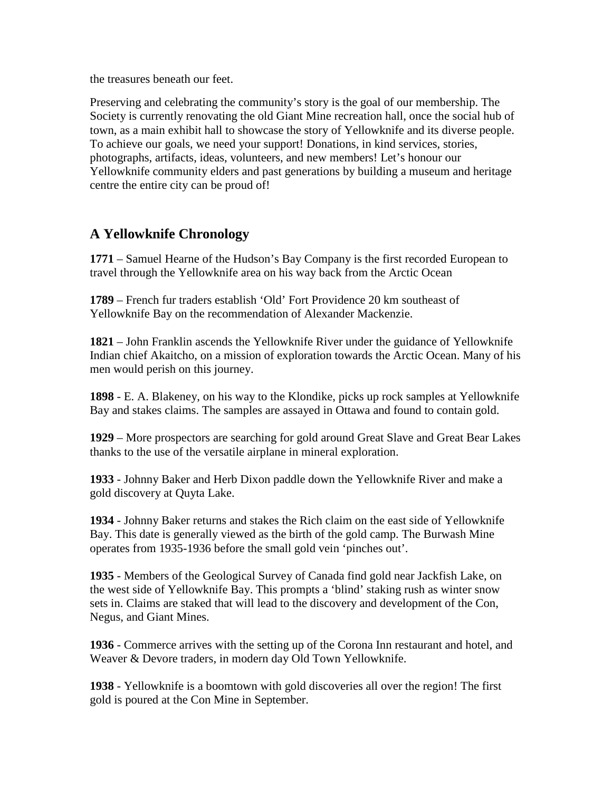the treasures beneath our feet.

Preserving and celebrating the community's story is the goal of our membership. The Society is currently renovating the old Giant Mine recreation hall, once the social hub of town, as a main exhibit hall to showcase the story of Yellowknife and its diverse people. To achieve our goals, we need your support! Donations, in kind services, stories, photographs, artifacts, ideas, volunteers, and new members! Let's honour our Yellowknife community elders and past generations by building a museum and heritage centre the entire city can be proud of!

## **A Yellowknife Chronology**

**1771** – Samuel Hearne of the Hudson's Bay Company is the first recorded European to travel through the Yellowknife area on his way back from the Arctic Ocean

**1789** – French fur traders establish 'Old' Fort Providence 20 km southeast of Yellowknife Bay on the recommendation of Alexander Mackenzie.

**1821** – John Franklin ascends the Yellowknife River under the guidance of Yellowknife Indian chief Akaitcho, on a mission of exploration towards the Arctic Ocean. Many of his men would perish on this journey.

**1898** - E. A. Blakeney, on his way to the Klondike, picks up rock samples at Yellowknife Bay and stakes claims. The samples are assayed in Ottawa and found to contain gold.

**1929** – More prospectors are searching for gold around Great Slave and Great Bear Lakes thanks to the use of the versatile airplane in mineral exploration.

**1933** - Johnny Baker and Herb Dixon paddle down the Yellowknife River and make a gold discovery at Quyta Lake.

**1934** - Johnny Baker returns and stakes the Rich claim on the east side of Yellowknife Bay. This date is generally viewed as the birth of the gold camp. The Burwash Mine operates from 1935-1936 before the small gold vein 'pinches out'.

**1935** - Members of the Geological Survey of Canada find gold near Jackfish Lake, on the west side of Yellowknife Bay. This prompts a 'blind' staking rush as winter snow sets in. Claims are staked that will lead to the discovery and development of the Con, Negus, and Giant Mines.

**1936** - Commerce arrives with the setting up of the Corona Inn restaurant and hotel, and Weaver & Devore traders, in modern day Old Town Yellowknife.

**1938** - Yellowknife is a boomtown with gold discoveries all over the region! The first gold is poured at the Con Mine in September.